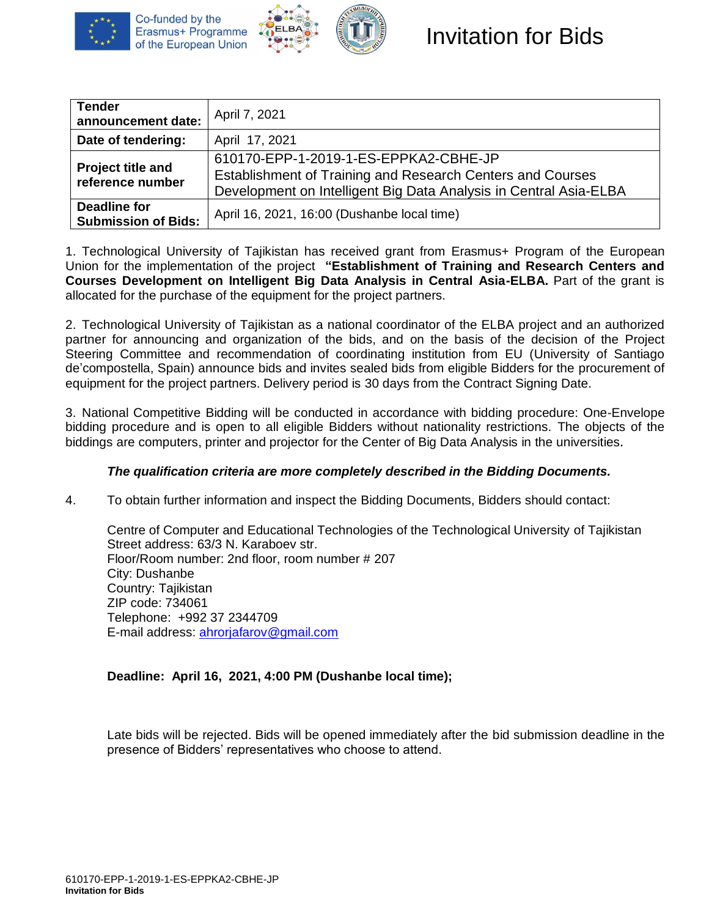



| <b>Tender</b><br>announcement date:               | April 7, 2021                                                                                                                                                            |
|---------------------------------------------------|--------------------------------------------------------------------------------------------------------------------------------------------------------------------------|
| Date of tendering:                                | April 17, 2021                                                                                                                                                           |
| <b>Project title and</b><br>reference number      | 610170-EPP-1-2019-1-ES-EPPKA2-CBHE-JP<br>Establishment of Training and Research Centers and Courses<br>Development on Intelligent Big Data Analysis in Central Asia-ELBA |
| <b>Deadline for</b><br><b>Submission of Bids:</b> | April 16, 2021, 16:00 (Dushanbe local time)                                                                                                                              |

1. Technological University of Tajikistan has received grant from Erasmus+ Program of the European Union for the implementation of the project **"Establishment of Training and Research Centers and Courses Development on Intelligent Big Data Analysis in Central Asia-ELBA.** Part of the grant is allocated for the purchase of the equipment for the project partners.

2. Technological University of Tajikistan as a national coordinator of the ELBA project and an authorized partner for announcing and organization of the bids, and on the basis of the decision of the Project Steering Committee and recommendation of coordinating institution from EU (University of Santiago de'compostella, Spain) announce bids and invites sealed bids from eligible Bidders for the procurement of equipment for the project partners. Delivery period is 30 days from the Contract Signing Date.

3. National Competitive Bidding will be conducted in accordance with bidding procedure: One-Envelope bidding procedure and is open to all eligible Bidders without nationality restrictions. The objects of the biddings are computers, printer and projector for the Center of Big Data Analysis in the universities.

## *The qualification criteria are more completely described in the Bidding Documents.*

4. To obtain further information and inspect the Bidding Documents, Bidders should contact:

Centre of Computer and Educational Technologies of the Technological University of Tajikistan Street address: 63/3 N. Karaboev str. Floor/Room number: 2nd floor, room number # 207 City: Dushanbe Country: Tajikistan ZIP code: 734061 Telephone: +992 37 2344709 E-mail address: [ahrorjafarov@gmail.com](mailto:ahrorjafarov@gmail.com)

## **Deadline: April 16, 2021, 4:00 PM (Dushanbe local time);**

Late bids will be rejected. Bids will be opened immediately after the bid submission deadline in the presence of Bidders' representatives who choose to attend.